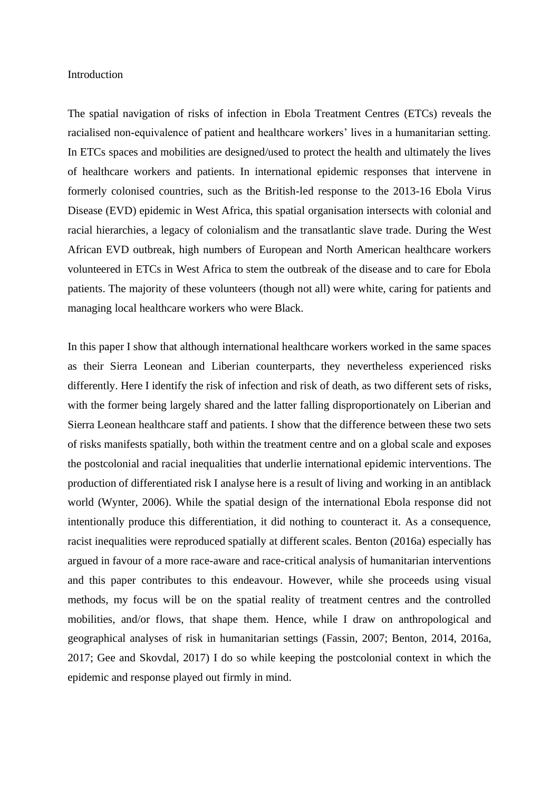#### Introduction

The spatial navigation of risks of infection in Ebola Treatment Centres (ETCs) reveals the racialised non-equivalence of patient and healthcare workers' lives in a humanitarian setting. In ETCs spaces and mobilities are designed/used to protect the health and ultimately the lives of healthcare workers and patients. In international epidemic responses that intervene in formerly colonised countries, such as the British-led response to the 2013-16 Ebola Virus Disease (EVD) epidemic in West Africa, this spatial organisation intersects with colonial and racial hierarchies, a legacy of colonialism and the transatlantic slave trade. During the West African EVD outbreak, high numbers of European and North American healthcare workers volunteered in ETCs in West Africa to stem the outbreak of the disease and to care for Ebola patients. The majority of these volunteers (though not all) were white, caring for patients and managing local healthcare workers who were Black.

In this paper I show that although international healthcare workers worked in the same spaces as their Sierra Leonean and Liberian counterparts, they nevertheless experienced risks differently. Here I identify the risk of infection and risk of death, as two different sets of risks, with the former being largely shared and the latter falling disproportionately on Liberian and Sierra Leonean healthcare staff and patients. I show that the difference between these two sets of risks manifests spatially, both within the treatment centre and on a global scale and exposes the postcolonial and racial inequalities that underlie international epidemic interventions. The production of differentiated risk I analyse here is a result of living and working in an antiblack world (Wynter, 2006). While the spatial design of the international Ebola response did not intentionally produce this differentiation, it did nothing to counteract it. As a consequence, racist inequalities were reproduced spatially at different scales. Benton (2016a) especially has argued in favour of a more race-aware and race-critical analysis of humanitarian interventions and this paper contributes to this endeavour. However, while she proceeds using visual methods, my focus will be on the spatial reality of treatment centres and the controlled mobilities, and/or flows, that shape them. Hence, while I draw on anthropological and geographical analyses of risk in humanitarian settings (Fassin, 2007; Benton, 2014, 2016a, 2017; Gee and Skovdal, 2017) I do so while keeping the postcolonial context in which the epidemic and response played out firmly in mind.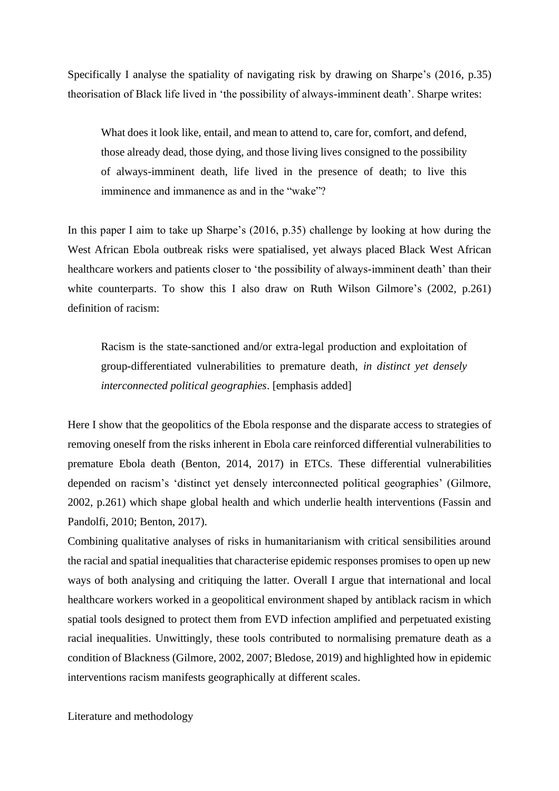Specifically I analyse the spatiality of navigating risk by drawing on Sharpe's (2016, p.35) theorisation of Black life lived in 'the possibility of always-imminent death'. Sharpe writes:

What does it look like, entail, and mean to attend to, care for, comfort, and defend, those already dead, those dying, and those living lives consigned to the possibility of always-imminent death, life lived in the presence of death; to live this imminence and immanence as and in the "wake"?

In this paper I aim to take up Sharpe's (2016, p.35) challenge by looking at how during the West African Ebola outbreak risks were spatialised, yet always placed Black West African healthcare workers and patients closer to 'the possibility of always-imminent death' than their white counterparts. To show this I also draw on Ruth Wilson Gilmore's (2002, p.261) definition of racism:

Racism is the state-sanctioned and/or extra-legal production and exploitation of group-differentiated vulnerabilities to premature death, *in distinct yet densely interconnected political geographies*. [emphasis added]

Here I show that the geopolitics of the Ebola response and the disparate access to strategies of removing oneself from the risks inherent in Ebola care reinforced differential vulnerabilities to premature Ebola death (Benton, 2014, 2017) in ETCs. These differential vulnerabilities depended on racism's 'distinct yet densely interconnected political geographies' (Gilmore, 2002, p.261) which shape global health and which underlie health interventions (Fassin and Pandolfi, 2010; Benton, 2017).

Combining qualitative analyses of risks in humanitarianism with critical sensibilities around the racial and spatial inequalities that characterise epidemic responses promises to open up new ways of both analysing and critiquing the latter. Overall I argue that international and local healthcare workers worked in a geopolitical environment shaped by antiblack racism in which spatial tools designed to protect them from EVD infection amplified and perpetuated existing racial inequalities. Unwittingly, these tools contributed to normalising premature death as a condition of Blackness (Gilmore, 2002, 2007; Bledose, 2019) and highlighted how in epidemic interventions racism manifests geographically at different scales.

Literature and methodology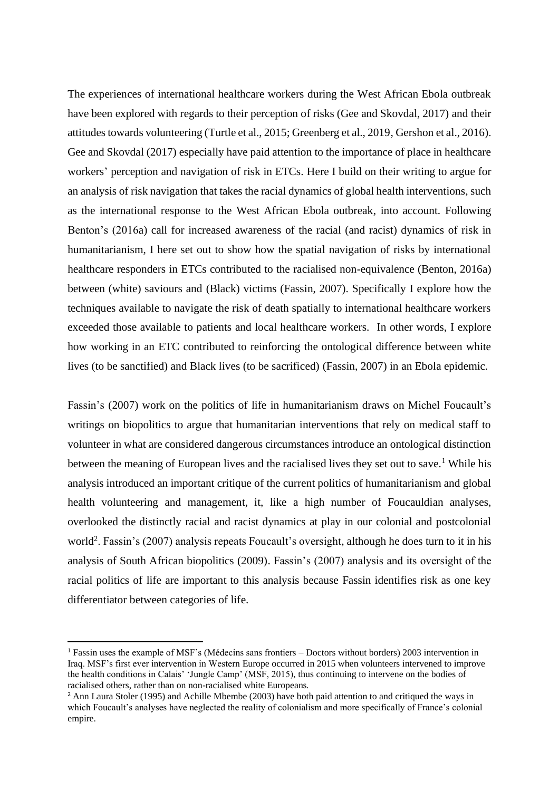The experiences of international healthcare workers during the West African Ebola outbreak have been explored with regards to their perception of risks (Gee and Skovdal, 2017) and their attitudes towards volunteering (Turtle et al., 2015; Greenberg et al., 2019, Gershon et al., 2016). Gee and Skovdal (2017) especially have paid attention to the importance of place in healthcare workers' perception and navigation of risk in ETCs. Here I build on their writing to argue for an analysis of risk navigation that takes the racial dynamics of global health interventions, such as the international response to the West African Ebola outbreak, into account. Following Benton's (2016a) call for increased awareness of the racial (and racist) dynamics of risk in humanitarianism, I here set out to show how the spatial navigation of risks by international healthcare responders in ETCs contributed to the racialised non-equivalence (Benton, 2016a) between (white) saviours and (Black) victims (Fassin, 2007). Specifically I explore how the techniques available to navigate the risk of death spatially to international healthcare workers exceeded those available to patients and local healthcare workers. In other words, I explore how working in an ETC contributed to reinforcing the ontological difference between white lives (to be sanctified) and Black lives (to be sacrificed) (Fassin, 2007) in an Ebola epidemic.

Fassin's (2007) work on the politics of life in humanitarianism draws on Michel Foucault's writings on biopolitics to argue that humanitarian interventions that rely on medical staff to volunteer in what are considered dangerous circumstances introduce an ontological distinction between the meaning of European lives and the racialised lives they set out to save.<sup>1</sup> While his analysis introduced an important critique of the current politics of humanitarianism and global health volunteering and management, it, like a high number of Foucauldian analyses, overlooked the distinctly racial and racist dynamics at play in our colonial and postcolonial world<sup>2</sup>. Fassin's (2007) analysis repeats Foucault's oversight, although he does turn to it in his analysis of South African biopolitics (2009). Fassin's (2007) analysis and its oversight of the racial politics of life are important to this analysis because Fassin identifies risk as one key differentiator between categories of life.

<sup>&</sup>lt;sup>1</sup> Fassin uses the example of MSF's (Médecins sans frontiers – Doctors without borders) 2003 intervention in Iraq. MSF's first ever intervention in Western Europe occurred in 2015 when volunteers intervened to improve the health conditions in Calais' 'Jungle Camp' (MSF, 2015), thus continuing to intervene on the bodies of racialised others, rather than on non-racialised white Europeans.

<sup>&</sup>lt;sup>2</sup> Ann Laura Stoler (1995) and Achille Mbembe (2003) have both paid attention to and critiqued the ways in which Foucault's analyses have neglected the reality of colonialism and more specifically of France's colonial empire.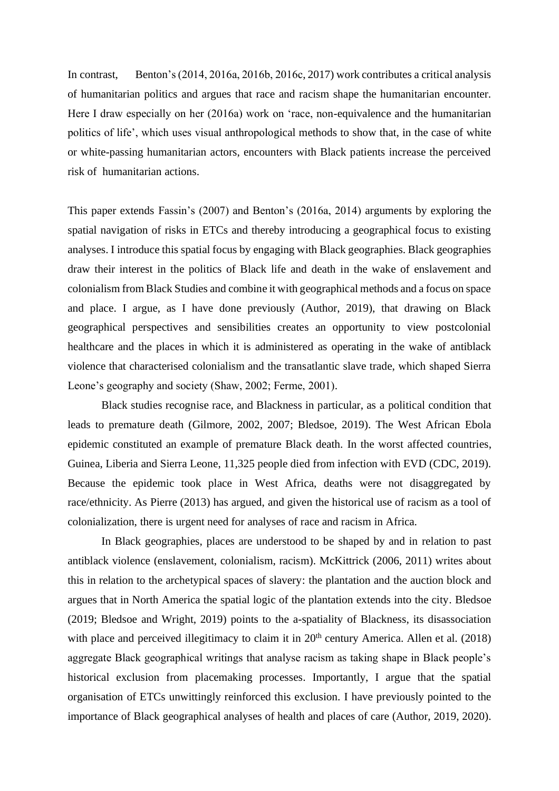In contrast, Benton's (2014, 2016a, 2016b, 2016c, 2017) work contributes a critical analysis of humanitarian politics and argues that race and racism shape the humanitarian encounter. Here I draw especially on her (2016a) work on 'race, non-equivalence and the humanitarian politics of life', which uses visual anthropological methods to show that, in the case of white or white-passing humanitarian actors, encounters with Black patients increase the perceived risk of humanitarian actions.

This paper extends Fassin's (2007) and Benton's (2016a, 2014) arguments by exploring the spatial navigation of risks in ETCs and thereby introducing a geographical focus to existing analyses. I introduce this spatial focus by engaging with Black geographies. Black geographies draw their interest in the politics of Black life and death in the wake of enslavement and colonialism from Black Studies and combine it with geographical methods and a focus on space and place. I argue, as I have done previously (Author, 2019), that drawing on Black geographical perspectives and sensibilities creates an opportunity to view postcolonial healthcare and the places in which it is administered as operating in the wake of antiblack violence that characterised colonialism and the transatlantic slave trade, which shaped Sierra Leone's geography and society (Shaw, 2002; Ferme, 2001).

Black studies recognise race, and Blackness in particular, as a political condition that leads to premature death (Gilmore, 2002, 2007; Bledsoe, 2019). The West African Ebola epidemic constituted an example of premature Black death. In the worst affected countries, Guinea, Liberia and Sierra Leone, 11,325 people died from infection with EVD (CDC, 2019). Because the epidemic took place in West Africa, deaths were not disaggregated by race/ethnicity. As Pierre (2013) has argued, and given the historical use of racism as a tool of colonialization, there is urgent need for analyses of race and racism in Africa.

In Black geographies, places are understood to be shaped by and in relation to past antiblack violence (enslavement, colonialism, racism). McKittrick (2006, 2011) writes about this in relation to the archetypical spaces of slavery: the plantation and the auction block and argues that in North America the spatial logic of the plantation extends into the city. Bledsoe (2019; Bledsoe and Wright, 2019) points to the a-spatiality of Blackness, its disassociation with place and perceived illegitimacy to claim it in  $20<sup>th</sup>$  century America. Allen et al. (2018) aggregate Black geographical writings that analyse racism as taking shape in Black people's historical exclusion from placemaking processes. Importantly, I argue that the spatial organisation of ETCs unwittingly reinforced this exclusion. I have previously pointed to the importance of Black geographical analyses of health and places of care (Author, 2019, 2020).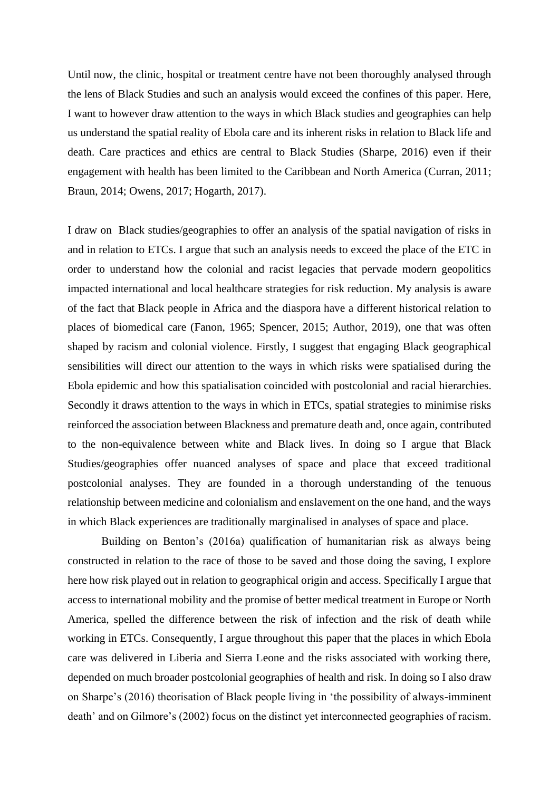Until now, the clinic, hospital or treatment centre have not been thoroughly analysed through the lens of Black Studies and such an analysis would exceed the confines of this paper. Here, I want to however draw attention to the ways in which Black studies and geographies can help us understand the spatial reality of Ebola care and its inherent risks in relation to Black life and death. Care practices and ethics are central to Black Studies (Sharpe, 2016) even if their engagement with health has been limited to the Caribbean and North America (Curran, 2011; Braun, 2014; Owens, 2017; Hogarth, 2017).

I draw on Black studies/geographies to offer an analysis of the spatial navigation of risks in and in relation to ETCs. I argue that such an analysis needs to exceed the place of the ETC in order to understand how the colonial and racist legacies that pervade modern geopolitics impacted international and local healthcare strategies for risk reduction. My analysis is aware of the fact that Black people in Africa and the diaspora have a different historical relation to places of biomedical care (Fanon, 1965; Spencer, 2015; Author, 2019), one that was often shaped by racism and colonial violence. Firstly, I suggest that engaging Black geographical sensibilities will direct our attention to the ways in which risks were spatialised during the Ebola epidemic and how this spatialisation coincided with postcolonial and racial hierarchies. Secondly it draws attention to the ways in which in ETCs, spatial strategies to minimise risks reinforced the association between Blackness and premature death and, once again, contributed to the non-equivalence between white and Black lives. In doing so I argue that Black Studies/geographies offer nuanced analyses of space and place that exceed traditional postcolonial analyses. They are founded in a thorough understanding of the tenuous relationship between medicine and colonialism and enslavement on the one hand, and the ways in which Black experiences are traditionally marginalised in analyses of space and place.

Building on Benton's (2016a) qualification of humanitarian risk as always being constructed in relation to the race of those to be saved and those doing the saving, I explore here how risk played out in relation to geographical origin and access. Specifically I argue that access to international mobility and the promise of better medical treatment in Europe or North America, spelled the difference between the risk of infection and the risk of death while working in ETCs. Consequently, I argue throughout this paper that the places in which Ebola care was delivered in Liberia and Sierra Leone and the risks associated with working there, depended on much broader postcolonial geographies of health and risk. In doing so I also draw on Sharpe's (2016) theorisation of Black people living in 'the possibility of always-imminent death' and on Gilmore's (2002) focus on the distinct yet interconnected geographies of racism.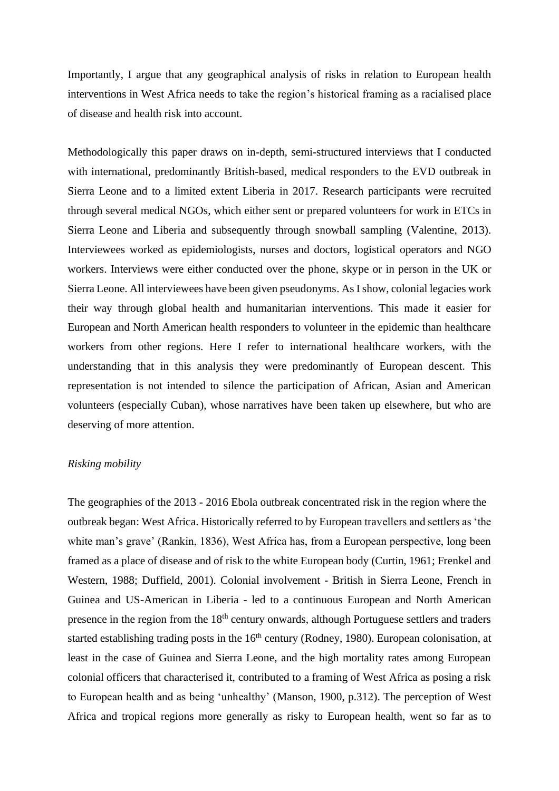Importantly, I argue that any geographical analysis of risks in relation to European health interventions in West Africa needs to take the region's historical framing as a racialised place of disease and health risk into account.

Methodologically this paper draws on in-depth, semi-structured interviews that I conducted with international, predominantly British-based, medical responders to the EVD outbreak in Sierra Leone and to a limited extent Liberia in 2017. Research participants were recruited through several medical NGOs, which either sent or prepared volunteers for work in ETCs in Sierra Leone and Liberia and subsequently through snowball sampling (Valentine, 2013). Interviewees worked as epidemiologists, nurses and doctors, logistical operators and NGO workers. Interviews were either conducted over the phone, skype or in person in the UK or Sierra Leone. All interviewees have been given pseudonyms. As I show, colonial legacies work their way through global health and humanitarian interventions. This made it easier for European and North American health responders to volunteer in the epidemic than healthcare workers from other regions. Here I refer to international healthcare workers, with the understanding that in this analysis they were predominantly of European descent. This representation is not intended to silence the participation of African, Asian and American volunteers (especially Cuban), whose narratives have been taken up elsewhere, but who are deserving of more attention.

## *Risking mobility*

The geographies of the 2013 - 2016 Ebola outbreak concentrated risk in the region where the outbreak began: West Africa. Historically referred to by European travellers and settlers as 'the white man's grave' (Rankin, 1836), West Africa has, from a European perspective, long been framed as a place of disease and of risk to the white European body (Curtin, 1961; Frenkel and Western, 1988; Duffield, 2001). Colonial involvement - British in Sierra Leone, French in Guinea and US-American in Liberia - led to a continuous European and North American presence in the region from the 18th century onwards, although Portuguese settlers and traders started establishing trading posts in the 16<sup>th</sup> century (Rodney, 1980). European colonisation, at least in the case of Guinea and Sierra Leone, and the high mortality rates among European colonial officers that characterised it, contributed to a framing of West Africa as posing a risk to European health and as being 'unhealthy' (Manson, 1900, p.312). The perception of West Africa and tropical regions more generally as risky to European health, went so far as to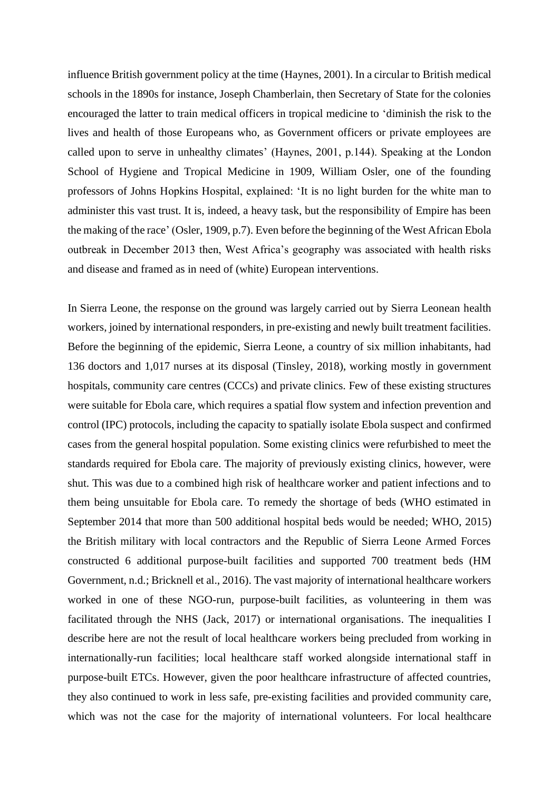influence British government policy at the time (Haynes, 2001). In a circular to British medical schools in the 1890s for instance, Joseph Chamberlain, then Secretary of State for the colonies encouraged the latter to train medical officers in tropical medicine to 'diminish the risk to the lives and health of those Europeans who, as Government officers or private employees are called upon to serve in unhealthy climates' (Haynes, 2001, p.144). Speaking at the London School of Hygiene and Tropical Medicine in 1909, William Osler, one of the founding professors of Johns Hopkins Hospital, explained: 'It is no light burden for the white man to administer this vast trust. It is, indeed, a heavy task, but the responsibility of Empire has been the making of the race' (Osler, 1909, p.7). Even before the beginning of the West African Ebola outbreak in December 2013 then, West Africa's geography was associated with health risks and disease and framed as in need of (white) European interventions.

In Sierra Leone, the response on the ground was largely carried out by Sierra Leonean health workers, joined by international responders, in pre-existing and newly built treatment facilities. Before the beginning of the epidemic, Sierra Leone, a country of six million inhabitants, had 136 doctors and 1,017 nurses at its disposal (Tinsley, 2018), working mostly in government hospitals, community care centres (CCCs) and private clinics. Few of these existing structures were suitable for Ebola care, which requires a spatial flow system and infection prevention and control (IPC) protocols, including the capacity to spatially isolate Ebola suspect and confirmed cases from the general hospital population. Some existing clinics were refurbished to meet the standards required for Ebola care. The majority of previously existing clinics, however, were shut. This was due to a combined high risk of healthcare worker and patient infections and to them being unsuitable for Ebola care. To remedy the shortage of beds (WHO estimated in September 2014 that more than 500 additional hospital beds would be needed; WHO, 2015) the British military with local contractors and the Republic of Sierra Leone Armed Forces constructed 6 additional purpose-built facilities and supported 700 treatment beds (HM Government, n.d.; Bricknell et al., 2016). The vast majority of international healthcare workers worked in one of these NGO-run, purpose-built facilities, as volunteering in them was facilitated through the NHS (Jack, 2017) or international organisations. The inequalities I describe here are not the result of local healthcare workers being precluded from working in internationally-run facilities; local healthcare staff worked alongside international staff in purpose-built ETCs. However, given the poor healthcare infrastructure of affected countries, they also continued to work in less safe, pre-existing facilities and provided community care, which was not the case for the majority of international volunteers. For local healthcare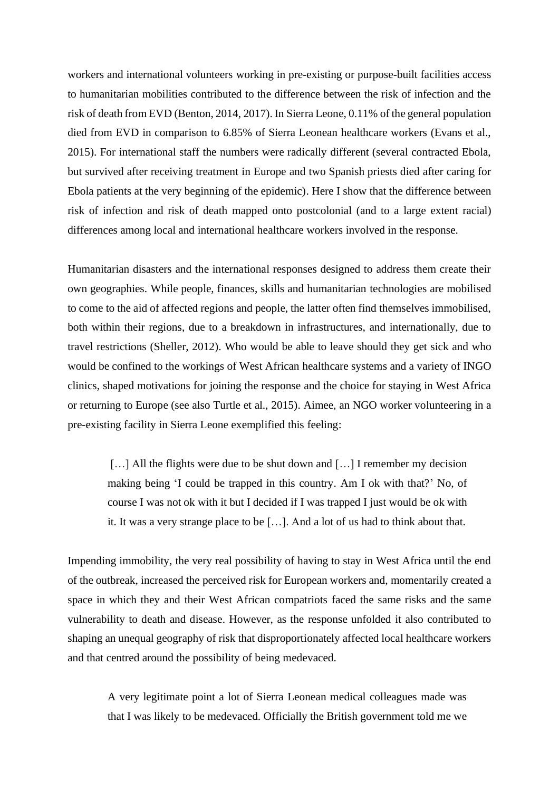workers and international volunteers working in pre-existing or purpose-built facilities access to humanitarian mobilities contributed to the difference between the risk of infection and the risk of death from EVD (Benton, 2014, 2017). In Sierra Leone, 0.11% of the general population died from EVD in comparison to 6.85% of Sierra Leonean healthcare workers (Evans et al., 2015). For international staff the numbers were radically different (several contracted Ebola, but survived after receiving treatment in Europe and two Spanish priests died after caring for Ebola patients at the very beginning of the epidemic). Here I show that the difference between risk of infection and risk of death mapped onto postcolonial (and to a large extent racial) differences among local and international healthcare workers involved in the response.

Humanitarian disasters and the international responses designed to address them create their own geographies. While people, finances, skills and humanitarian technologies are mobilised to come to the aid of affected regions and people, the latter often find themselves immobilised, both within their regions, due to a breakdown in infrastructures, and internationally, due to travel restrictions (Sheller, 2012). Who would be able to leave should they get sick and who would be confined to the workings of West African healthcare systems and a variety of INGO clinics, shaped motivations for joining the response and the choice for staying in West Africa or returning to Europe (see also Turtle et al., 2015). Aimee, an NGO worker volunteering in a pre-existing facility in Sierra Leone exemplified this feeling:

[...] All the flights were due to be shut down and [...] I remember my decision making being 'I could be trapped in this country. Am I ok with that?' No, of course I was not ok with it but I decided if I was trapped I just would be ok with it. It was a very strange place to be […]. And a lot of us had to think about that.

Impending immobility, the very real possibility of having to stay in West Africa until the end of the outbreak, increased the perceived risk for European workers and, momentarily created a space in which they and their West African compatriots faced the same risks and the same vulnerability to death and disease. However, as the response unfolded it also contributed to shaping an unequal geography of risk that disproportionately affected local healthcare workers and that centred around the possibility of being medevaced.

A very legitimate point a lot of Sierra Leonean medical colleagues made was that I was likely to be medevaced. Officially the British government told me we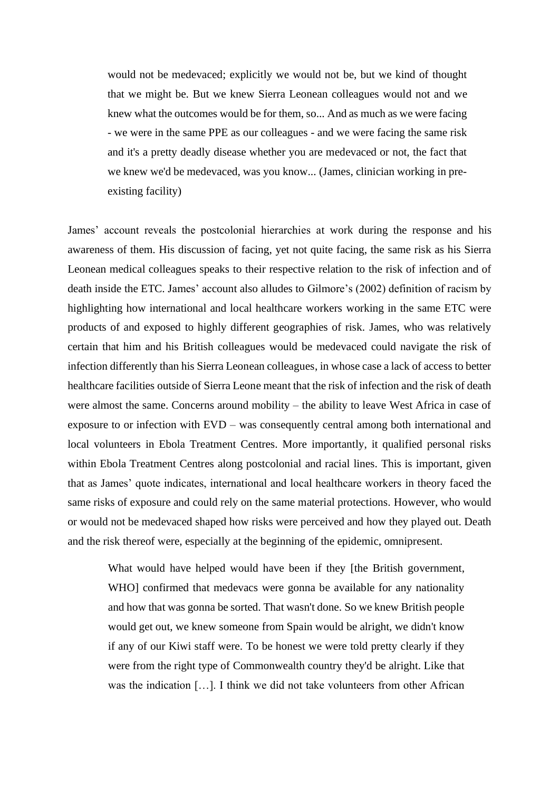would not be medevaced; explicitly we would not be, but we kind of thought that we might be. But we knew Sierra Leonean colleagues would not and we knew what the outcomes would be for them, so... And as much as we were facing - we were in the same PPE as our colleagues - and we were facing the same risk and it's a pretty deadly disease whether you are medevaced or not, the fact that we knew we'd be medevaced, was you know... (James, clinician working in preexisting facility)

James' account reveals the postcolonial hierarchies at work during the response and his awareness of them. His discussion of facing, yet not quite facing, the same risk as his Sierra Leonean medical colleagues speaks to their respective relation to the risk of infection and of death inside the ETC. James' account also alludes to Gilmore's (2002) definition of racism by highlighting how international and local healthcare workers working in the same ETC were products of and exposed to highly different geographies of risk. James, who was relatively certain that him and his British colleagues would be medevaced could navigate the risk of infection differently than his Sierra Leonean colleagues, in whose case a lack of access to better healthcare facilities outside of Sierra Leone meant that the risk of infection and the risk of death were almost the same. Concerns around mobility – the ability to leave West Africa in case of exposure to or infection with EVD – was consequently central among both international and local volunteers in Ebola Treatment Centres. More importantly, it qualified personal risks within Ebola Treatment Centres along postcolonial and racial lines. This is important, given that as James' quote indicates, international and local healthcare workers in theory faced the same risks of exposure and could rely on the same material protections. However, who would or would not be medevaced shaped how risks were perceived and how they played out. Death and the risk thereof were, especially at the beginning of the epidemic, omnipresent.

What would have helped would have been if they [the British government, WHO] confirmed that medevacs were gonna be available for any nationality and how that was gonna be sorted. That wasn't done. So we knew British people would get out, we knew someone from Spain would be alright, we didn't know if any of our Kiwi staff were. To be honest we were told pretty clearly if they were from the right type of Commonwealth country they'd be alright. Like that was the indication […]. I think we did not take volunteers from other African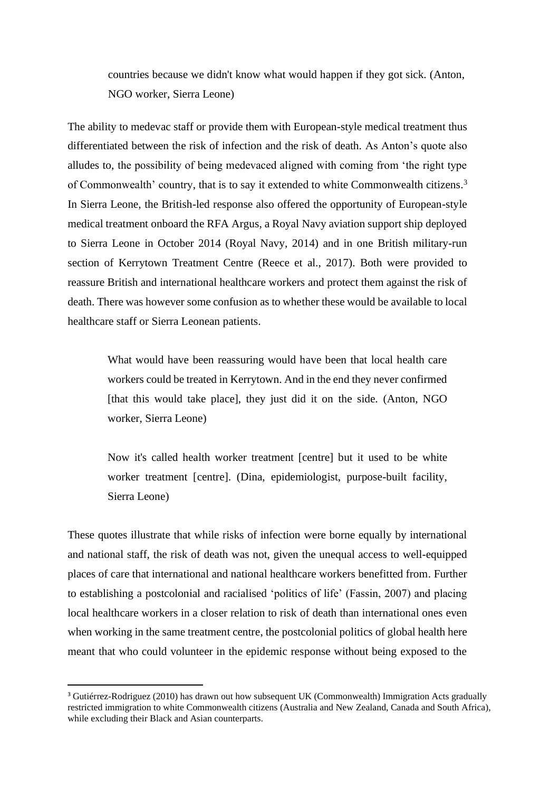countries because we didn't know what would happen if they got sick. (Anton, NGO worker, Sierra Leone)

The ability to medevac staff or provide them with European-style medical treatment thus differentiated between the risk of infection and the risk of death. As Anton's quote also alludes to, the possibility of being medevaced aligned with coming from 'the right type of Commonwealth' country, that is to say it extended to white Commonwealth citizens.<sup>3</sup> In Sierra Leone, the British-led response also offered the opportunity of European-style medical treatment onboard the RFA Argus, a Royal Navy aviation support ship deployed to Sierra Leone in October 2014 (Royal Navy, 2014) and in one British military-run section of Kerrytown Treatment Centre (Reece et al., 2017). Both were provided to reassure British and international healthcare workers and protect them against the risk of death. There was however some confusion as to whether these would be available to local healthcare staff or Sierra Leonean patients.

> What would have been reassuring would have been that local health care workers could be treated in Kerrytown. And in the end they never confirmed [that this would take place], they just did it on the side. (Anton, NGO worker, Sierra Leone)

> Now it's called health worker treatment [centre] but it used to be white worker treatment [centre]. (Dina, epidemiologist, purpose-built facility, Sierra Leone)

These quotes illustrate that while risks of infection were borne equally by international and national staff, the risk of death was not, given the unequal access to well-equipped places of care that international and national healthcare workers benefitted from. Further to establishing a postcolonial and racialised 'politics of life' (Fassin, 2007) and placing local healthcare workers in a closer relation to risk of death than international ones even when working in the same treatment centre, the postcolonial politics of global health here meant that who could volunteer in the epidemic response without being exposed to the

<sup>3</sup> Gutiérrez-Rodriguez (2010) has drawn out how subsequent UK (Commonwealth) Immigration Acts gradually restricted immigration to white Commonwealth citizens (Australia and New Zealand, Canada and South Africa), while excluding their Black and Asian counterparts.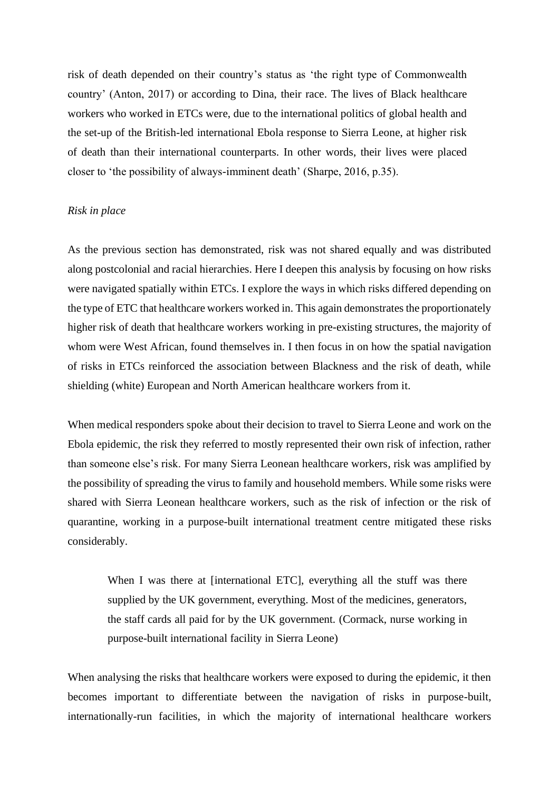risk of death depended on their country's status as 'the right type of Commonwealth country' (Anton, 2017) or according to Dina, their race. The lives of Black healthcare workers who worked in ETCs were, due to the international politics of global health and the set-up of the British-led international Ebola response to Sierra Leone, at higher risk of death than their international counterparts. In other words, their lives were placed closer to 'the possibility of always-imminent death' (Sharpe, 2016, p.35).

## *Risk in place*

As the previous section has demonstrated, risk was not shared equally and was distributed along postcolonial and racial hierarchies. Here I deepen this analysis by focusing on how risks were navigated spatially within ETCs. I explore the ways in which risks differed depending on the type of ETC that healthcare workers worked in. This again demonstrates the proportionately higher risk of death that healthcare workers working in pre-existing structures, the majority of whom were West African, found themselves in. I then focus in on how the spatial navigation of risks in ETCs reinforced the association between Blackness and the risk of death, while shielding (white) European and North American healthcare workers from it.

When medical responders spoke about their decision to travel to Sierra Leone and work on the Ebola epidemic, the risk they referred to mostly represented their own risk of infection, rather than someone else's risk. For many Sierra Leonean healthcare workers, risk was amplified by the possibility of spreading the virus to family and household members. While some risks were shared with Sierra Leonean healthcare workers, such as the risk of infection or the risk of quarantine, working in a purpose-built international treatment centre mitigated these risks considerably.

When I was there at [international ETC], everything all the stuff was there supplied by the UK government, everything. Most of the medicines, generators, the staff cards all paid for by the UK government. (Cormack, nurse working in purpose-built international facility in Sierra Leone)

When analysing the risks that healthcare workers were exposed to during the epidemic, it then becomes important to differentiate between the navigation of risks in purpose-built, internationally-run facilities, in which the majority of international healthcare workers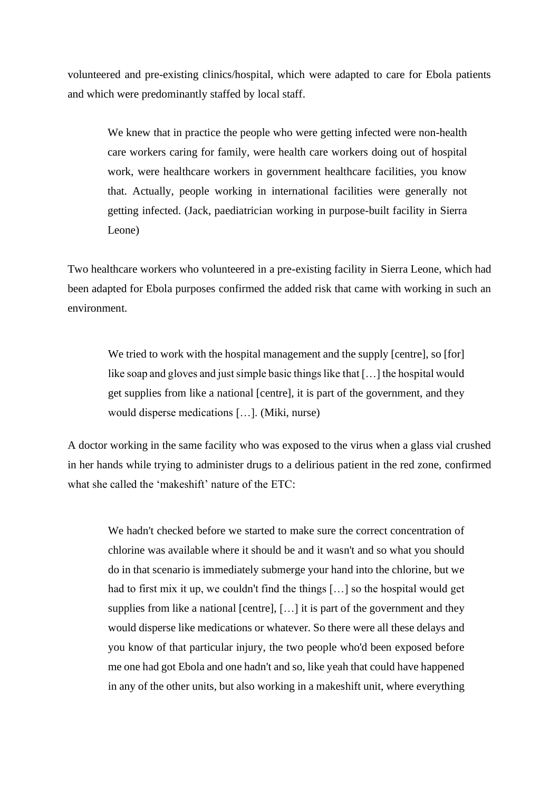volunteered and pre-existing clinics/hospital, which were adapted to care for Ebola patients and which were predominantly staffed by local staff.

We knew that in practice the people who were getting infected were non-health care workers caring for family, were health care workers doing out of hospital work, were healthcare workers in government healthcare facilities, you know that. Actually, people working in international facilities were generally not getting infected. (Jack, paediatrician working in purpose-built facility in Sierra Leone)

Two healthcare workers who volunteered in a pre-existing facility in Sierra Leone, which had been adapted for Ebola purposes confirmed the added risk that came with working in such an environment.

We tried to work with the hospital management and the supply [centre], so [for] like soap and gloves and just simple basic things like that […] the hospital would get supplies from like a national [centre], it is part of the government, and they would disperse medications […]. (Miki, nurse)

A doctor working in the same facility who was exposed to the virus when a glass vial crushed in her hands while trying to administer drugs to a delirious patient in the red zone, confirmed what she called the 'makeshift' nature of the ETC:

We hadn't checked before we started to make sure the correct concentration of chlorine was available where it should be and it wasn't and so what you should do in that scenario is immediately submerge your hand into the chlorine, but we had to first mix it up, we couldn't find the things […] so the hospital would get supplies from like a national [centre],  $[\dots]$  it is part of the government and they would disperse like medications or whatever. So there were all these delays and you know of that particular injury, the two people who'd been exposed before me one had got Ebola and one hadn't and so, like yeah that could have happened in any of the other units, but also working in a makeshift unit, where everything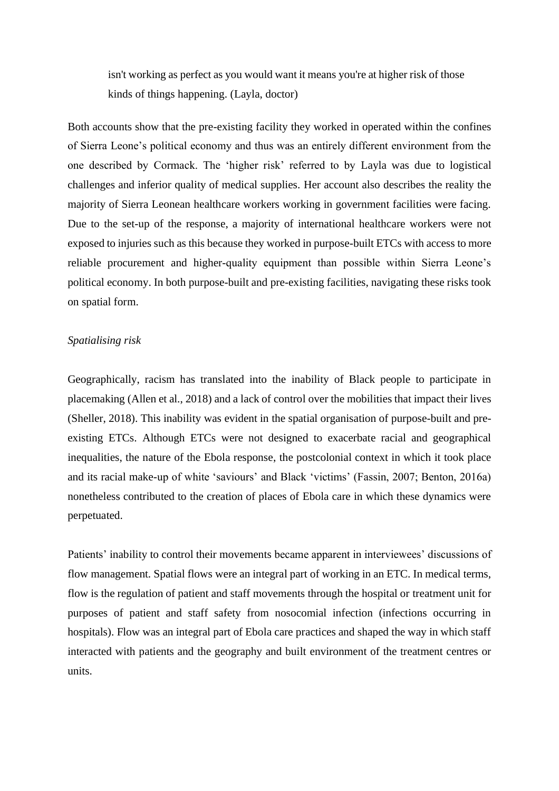isn't working as perfect as you would want it means you're at higher risk of those kinds of things happening. (Layla, doctor)

Both accounts show that the pre-existing facility they worked in operated within the confines of Sierra Leone's political economy and thus was an entirely different environment from the one described by Cormack. The 'higher risk' referred to by Layla was due to logistical challenges and inferior quality of medical supplies. Her account also describes the reality the majority of Sierra Leonean healthcare workers working in government facilities were facing. Due to the set-up of the response, a majority of international healthcare workers were not exposed to injuries such as this because they worked in purpose-built ETCs with access to more reliable procurement and higher-quality equipment than possible within Sierra Leone's political economy. In both purpose-built and pre-existing facilities, navigating these risks took on spatial form.

## *Spatialising risk*

Geographically, racism has translated into the inability of Black people to participate in placemaking (Allen et al., 2018) and a lack of control over the mobilities that impact their lives (Sheller, 2018). This inability was evident in the spatial organisation of purpose-built and preexisting ETCs. Although ETCs were not designed to exacerbate racial and geographical inequalities, the nature of the Ebola response, the postcolonial context in which it took place and its racial make-up of white 'saviours' and Black 'victims' (Fassin, 2007; Benton, 2016a) nonetheless contributed to the creation of places of Ebola care in which these dynamics were perpetuated.

Patients' inability to control their movements became apparent in interviewees' discussions of flow management. Spatial flows were an integral part of working in an ETC. In medical terms, flow is the regulation of patient and staff movements through the hospital or treatment unit for purposes of patient and staff safety from nosocomial infection (infections occurring in hospitals). Flow was an integral part of Ebola care practices and shaped the way in which staff interacted with patients and the geography and built environment of the treatment centres or units.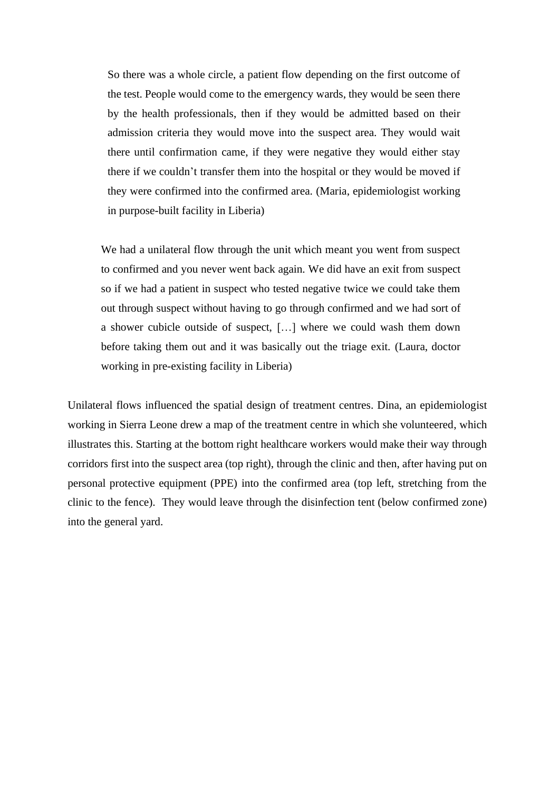So there was a whole circle, a patient flow depending on the first outcome of the test. People would come to the emergency wards, they would be seen there by the health professionals, then if they would be admitted based on their admission criteria they would move into the suspect area. They would wait there until confirmation came, if they were negative they would either stay there if we couldn't transfer them into the hospital or they would be moved if they were confirmed into the confirmed area. (Maria, epidemiologist working in purpose-built facility in Liberia)

We had a unilateral flow through the unit which meant you went from suspect to confirmed and you never went back again. We did have an exit from suspect so if we had a patient in suspect who tested negative twice we could take them out through suspect without having to go through confirmed and we had sort of a shower cubicle outside of suspect, […] where we could wash them down before taking them out and it was basically out the triage exit. (Laura, doctor working in pre-existing facility in Liberia)

Unilateral flows influenced the spatial design of treatment centres. Dina, an epidemiologist working in Sierra Leone drew a map of the treatment centre in which she volunteered, which illustrates this. Starting at the bottom right healthcare workers would make their way through corridors first into the suspect area (top right), through the clinic and then, after having put on personal protective equipment (PPE) into the confirmed area (top left, stretching from the clinic to the fence). They would leave through the disinfection tent (below confirmed zone) into the general yard.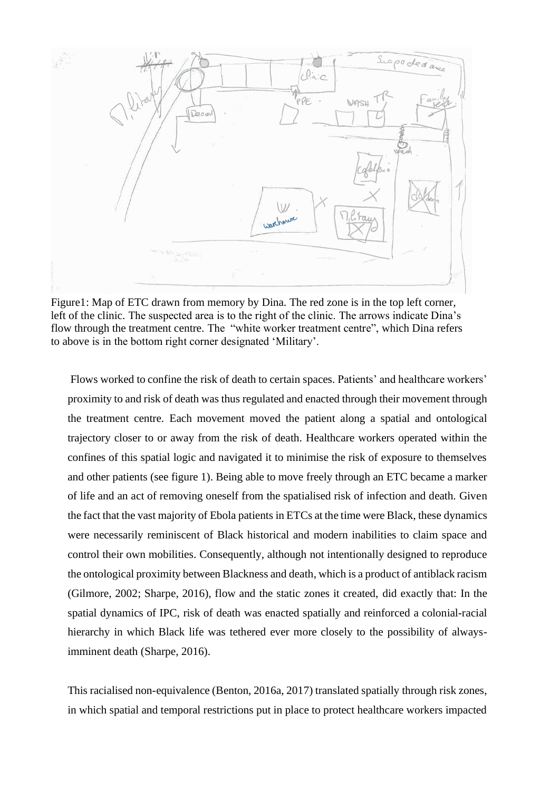

Figure1: Map of ETC drawn from memory by Dina. The red zone is in the top left corner, left of the clinic. The suspected area is to the right of the clinic. The arrows indicate Dina's flow through the treatment centre. The "white worker treatment centre", which Dina refers to above is in the bottom right corner designated 'Military'.

Flows worked to confine the risk of death to certain spaces. Patients' and healthcare workers' proximity to and risk of death was thus regulated and enacted through their movement through the treatment centre. Each movement moved the patient along a spatial and ontological trajectory closer to or away from the risk of death. Healthcare workers operated within the confines of this spatial logic and navigated it to minimise the risk of exposure to themselves and other patients (see figure 1). Being able to move freely through an ETC became a marker of life and an act of removing oneself from the spatialised risk of infection and death. Given the fact that the vast majority of Ebola patients in ETCs at the time were Black, these dynamics were necessarily reminiscent of Black historical and modern inabilities to claim space and control their own mobilities. Consequently, although not intentionally designed to reproduce the ontological proximity between Blackness and death, which is a product of antiblack racism (Gilmore, 2002; Sharpe, 2016), flow and the static zones it created, did exactly that: In the spatial dynamics of IPC, risk of death was enacted spatially and reinforced a colonial-racial hierarchy in which Black life was tethered ever more closely to the possibility of alwaysimminent death (Sharpe, 2016).

This racialised non-equivalence (Benton, 2016a, 2017) translated spatially through risk zones, in which spatial and temporal restrictions put in place to protect healthcare workers impacted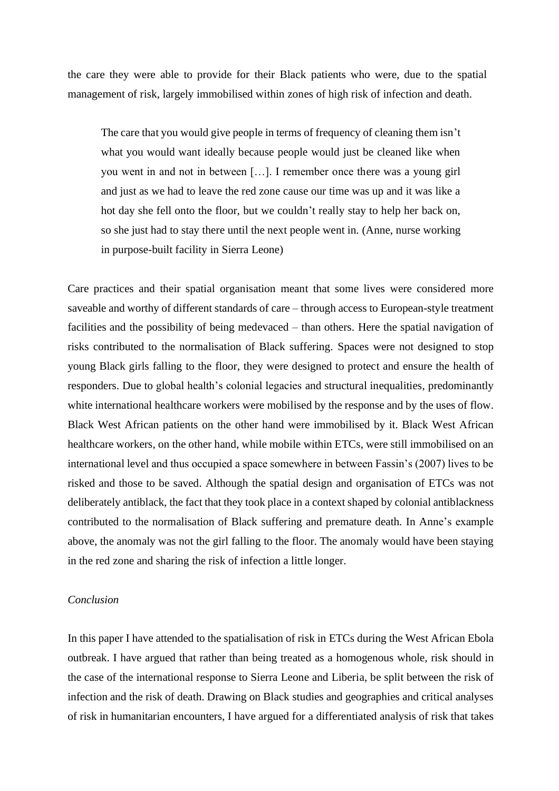the care they were able to provide for their Black patients who were, due to the spatial management of risk, largely immobilised within zones of high risk of infection and death.

The care that you would give people in terms of frequency of cleaning them isn't what you would want ideally because people would just be cleaned like when you went in and not in between […]. I remember once there was a young girl and just as we had to leave the red zone cause our time was up and it was like a hot day she fell onto the floor, but we couldn't really stay to help her back on, so she just had to stay there until the next people went in. (Anne, nurse working in purpose-built facility in Sierra Leone)

Care practices and their spatial organisation meant that some lives were considered more saveable and worthy of different standards of care – through access to European-style treatment facilities and the possibility of being medevaced – than others. Here the spatial navigation of risks contributed to the normalisation of Black suffering. Spaces were not designed to stop young Black girls falling to the floor, they were designed to protect and ensure the health of responders. Due to global health's colonial legacies and structural inequalities, predominantly white international healthcare workers were mobilised by the response and by the uses of flow. Black West African patients on the other hand were immobilised by it. Black West African healthcare workers, on the other hand, while mobile within ETCs, were still immobilised on an international level and thus occupied a space somewhere in between Fassin's (2007) lives to be risked and those to be saved. Although the spatial design and organisation of ETCs was not deliberately antiblack, the fact that they took place in a context shaped by colonial antiblackness contributed to the normalisation of Black suffering and premature death. In Anne's example above, the anomaly was not the girl falling to the floor. The anomaly would have been staying in the red zone and sharing the risk of infection a little longer.

#### *Conclusion*

In this paper I have attended to the spatialisation of risk in ETCs during the West African Ebola outbreak. I have argued that rather than being treated as a homogenous whole, risk should in the case of the international response to Sierra Leone and Liberia, be split between the risk of infection and the risk of death. Drawing on Black studies and geographies and critical analyses of risk in humanitarian encounters, I have argued for a differentiated analysis of risk that takes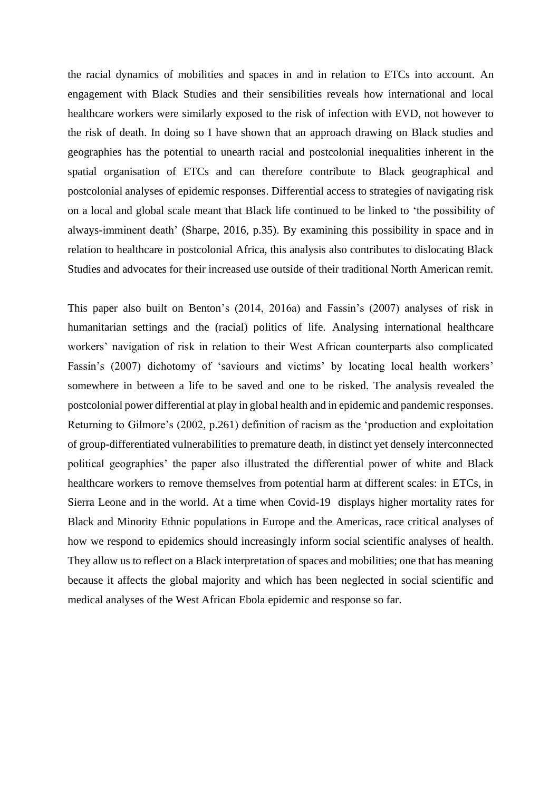the racial dynamics of mobilities and spaces in and in relation to ETCs into account. An engagement with Black Studies and their sensibilities reveals how international and local healthcare workers were similarly exposed to the risk of infection with EVD, not however to the risk of death. In doing so I have shown that an approach drawing on Black studies and geographies has the potential to unearth racial and postcolonial inequalities inherent in the spatial organisation of ETCs and can therefore contribute to Black geographical and postcolonial analyses of epidemic responses. Differential access to strategies of navigating risk on a local and global scale meant that Black life continued to be linked to 'the possibility of always-imminent death' (Sharpe, 2016, p.35). By examining this possibility in space and in relation to healthcare in postcolonial Africa, this analysis also contributes to dislocating Black Studies and advocates for their increased use outside of their traditional North American remit.

This paper also built on Benton's (2014, 2016a) and Fassin's (2007) analyses of risk in humanitarian settings and the (racial) politics of life. Analysing international healthcare workers' navigation of risk in relation to their West African counterparts also complicated Fassin's (2007) dichotomy of 'saviours and victims' by locating local health workers' somewhere in between a life to be saved and one to be risked. The analysis revealed the postcolonial power differential at play in global health and in epidemic and pandemic responses. Returning to Gilmore's (2002, p.261) definition of racism as the 'production and exploitation of group-differentiated vulnerabilities to premature death, in distinct yet densely interconnected political geographies' the paper also illustrated the differential power of white and Black healthcare workers to remove themselves from potential harm at different scales: in ETCs, in Sierra Leone and in the world. At a time when Covid-19 displays higher mortality rates for Black and Minority Ethnic populations in Europe and the Americas, race critical analyses of how we respond to epidemics should increasingly inform social scientific analyses of health. They allow us to reflect on a Black interpretation of spaces and mobilities; one that has meaning because it affects the global majority and which has been neglected in social scientific and medical analyses of the West African Ebola epidemic and response so far.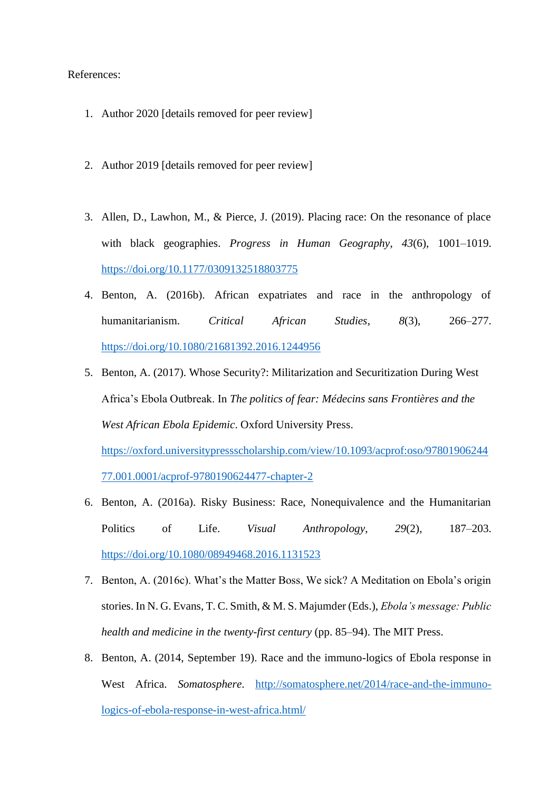# References:

- 1. Author 2020 [details removed for peer review]
- 2. Author 2019 [details removed for peer review]
- 3. Allen, D., Lawhon, M., & Pierce, J. (2019). Placing race: On the resonance of place with black geographies. *Progress in Human Geography*, *43*(6), 1001–1019. <https://doi.org/10.1177/0309132518803775>
- 4. Benton, A. (2016b). African expatriates and race in the anthropology of humanitarianism. *Critical African Studies*, *8*(3), 266–277. <https://doi.org/10.1080/21681392.2016.1244956>
- 5. Benton, A. (2017). Whose Security?: Militarization and Securitization During West Africa's Ebola Outbreak. In *The politics of fear: Médecins sans Frontières and the West African Ebola Epidemic*. Oxford University Press.

[https://oxford.universitypressscholarship.com/view/10.1093/acprof:oso/97801906244](https://oxford.universitypressscholarship.com/view/10.1093/acprof:oso/9780190624477.001.0001/acprof-9780190624477-chapter-2) [77.001.0001/acprof-9780190624477-chapter-2](https://oxford.universitypressscholarship.com/view/10.1093/acprof:oso/9780190624477.001.0001/acprof-9780190624477-chapter-2)

- 6. Benton, A. (2016a). Risky Business: Race, Nonequivalence and the Humanitarian Politics of Life. *Visual Anthropology*, *29*(2), 187–203. <https://doi.org/10.1080/08949468.2016.1131523>
- 7. Benton, A. (2016c). What's the Matter Boss, We sick? A Meditation on Ebola's origin stories. In N. G. Evans, T. C. Smith, & M. S. Majumder (Eds.), *Ebola's message: Public health and medicine in the twenty-first century* (pp. 85–94). The MIT Press.
- 8. Benton, A. (2014, September 19). Race and the immuno-logics of Ebola response in West Africa. *Somatosphere*. [http://somatosphere.net/2014/race-and-the-immuno](http://somatosphere.net/2014/race-and-the-immuno-logics-of-ebola-response-in-west-africa.html/)[logics-of-ebola-response-in-west-africa.html/](http://somatosphere.net/2014/race-and-the-immuno-logics-of-ebola-response-in-west-africa.html/)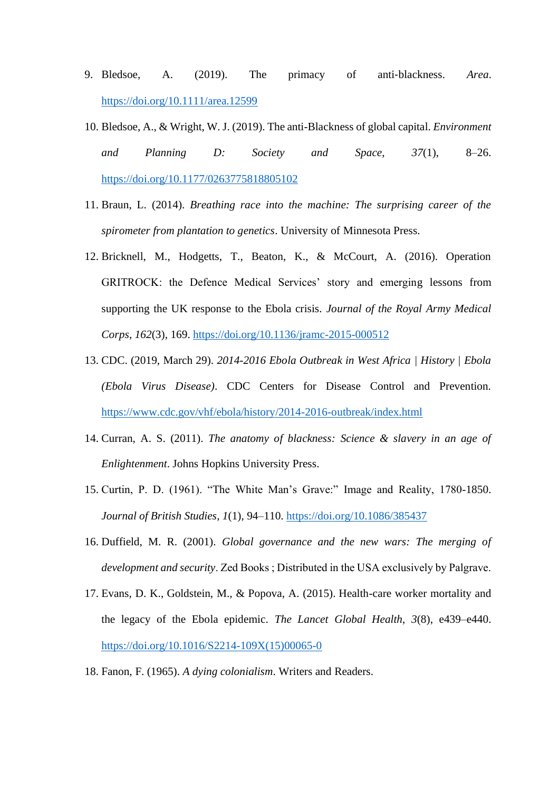- 9. Bledsoe, A. (2019). The primacy of anti‐blackness. *Area*. <https://doi.org/10.1111/area.12599>
- 10. Bledsoe, A., & Wright, W. J. (2019). The anti-Blackness of global capital. *Environment and Planning D: Society and Space*, *37*(1), 8–26. <https://doi.org/10.1177/0263775818805102>
- 11. Braun, L. (2014). *Breathing race into the machine: The surprising career of the spirometer from plantation to genetics*. University of Minnesota Press.
- 12. Bricknell, M., Hodgetts, T., Beaton, K., & McCourt, A. (2016). Operation GRITROCK: the Defence Medical Services' story and emerging lessons from supporting the UK response to the Ebola crisis. *Journal of the Royal Army Medical Corps*, *162*(3), 169.<https://doi.org/10.1136/jramc-2015-000512>
- 13. CDC. (2019, March 29). *2014-2016 Ebola Outbreak in West Africa | History | Ebola (Ebola Virus Disease)*. CDC Centers for Disease Control and Prevention. <https://www.cdc.gov/vhf/ebola/history/2014-2016-outbreak/index.html>
- 14. Curran, A. S. (2011). *The anatomy of blackness: Science & slavery in an age of Enlightenment*. Johns Hopkins University Press.
- 15. Curtin, P. D. (1961). "The White Man's Grave:" Image and Reality, 1780-1850. *Journal of British Studies*, *1*(1), 94–110.<https://doi.org/10.1086/385437>
- 16. Duffield, M. R. (2001). *Global governance and the new wars: The merging of development and security*. Zed Books ; Distributed in the USA exclusively by Palgrave.
- 17. Evans, D. K., Goldstein, M., & Popova, A. (2015). Health-care worker mortality and the legacy of the Ebola epidemic. *The Lancet Global Health*, *3*(8), e439–e440. [https://doi.org/10.1016/S2214-109X\(15\)00065-0](https://doi.org/10.1016/S2214-109X(15)00065-0)
- 18. Fanon, F. (1965). *A dying colonialism*. Writers and Readers.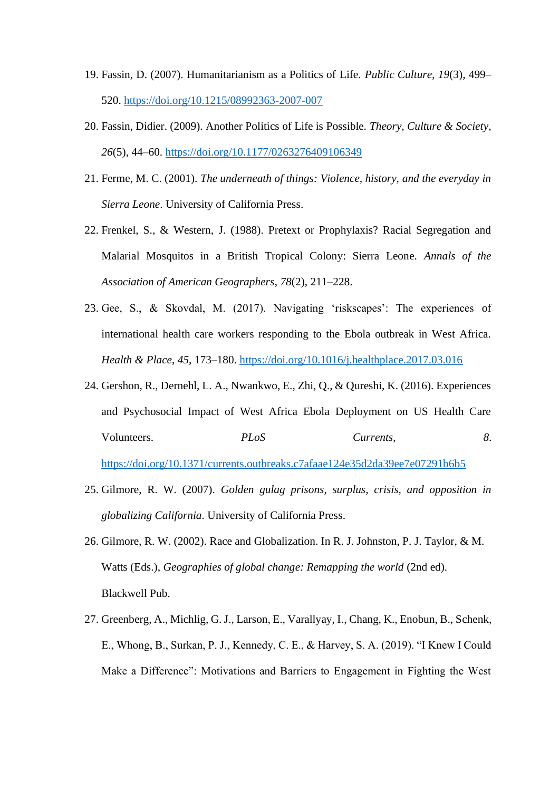- 19. Fassin, D. (2007). Humanitarianism as a Politics of Life. *Public Culture*, *19*(3), 499– 520.<https://doi.org/10.1215/08992363-2007-007>
- 20. Fassin, Didier. (2009). Another Politics of Life is Possible. *Theory, Culture & Society*, *26*(5), 44–60.<https://doi.org/10.1177/0263276409106349>
- 21. Ferme, M. C. (2001). *The underneath of things: Violence, history, and the everyday in Sierra Leone*. University of California Press.
- 22. Frenkel, S., & Western, J. (1988). Pretext or Prophylaxis? Racial Segregation and Malarial Mosquitos in a British Tropical Colony: Sierra Leone. *Annals of the Association of American Geographers*, *78*(2), 211–228.
- 23. Gee, S., & Skovdal, M. (2017). Navigating 'riskscapes': The experiences of international health care workers responding to the Ebola outbreak in West Africa. *Health & Place*, *45*, 173–180.<https://doi.org/10.1016/j.healthplace.2017.03.016>
- 24. Gershon, R., Dernehl, L. A., Nwankwo, E., Zhi, Q., & Qureshi, K. (2016). Experiences and Psychosocial Impact of West Africa Ebola Deployment on US Health Care Volunteers. *PLoS Currents*, *8*.

<https://doi.org/10.1371/currents.outbreaks.c7afaae124e35d2da39ee7e07291b6b5>

- 25. Gilmore, R. W. (2007). *Golden gulag prisons, surplus, crisis, and opposition in globalizing California*. University of California Press.
- 26. Gilmore, R. W. (2002). Race and Globalization. In R. J. Johnston, P. J. Taylor, & M. Watts (Eds.), *Geographies of global change: Remapping the world* (2nd ed). Blackwell Pub.
- 27. Greenberg, A., Michlig, G. J., Larson, E., Varallyay, I., Chang, K., Enobun, B., Schenk, E., Whong, B., Surkan, P. J., Kennedy, C. E., & Harvey, S. A. (2019). "I Knew I Could Make a Difference": Motivations and Barriers to Engagement in Fighting the West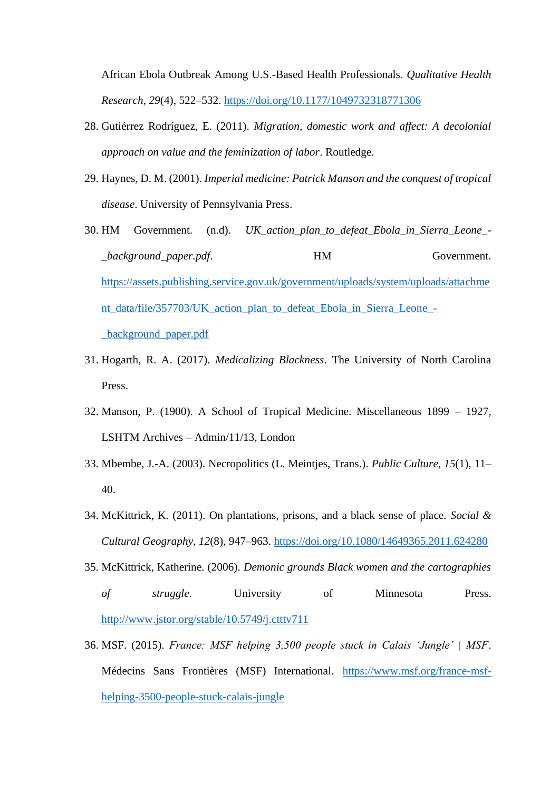African Ebola Outbreak Among U.S.-Based Health Professionals. *Qualitative Health Research*, *29*(4), 522–532.<https://doi.org/10.1177/1049732318771306>

- 28. Gutiérrez Rodríguez, E. (2011). *Migration, domestic work and affect: A decolonial approach on value and the feminization of labor*. Routledge.
- 29. Haynes, D. M. (2001). *Imperial medicine: Patrick Manson and the conquest of tropical disease*. University of Pennsylvania Press.
- 30. HM Government. (n.d). *UK\_action\_plan\_to\_defeat\_Ebola\_in\_Sierra\_Leone\_- \_background\_paper.pdf*. HM Government. [https://assets.publishing.service.gov.uk/government/uploads/system/uploads/attachme](https://assets.publishing.service.gov.uk/government/uploads/system/uploads/attachment_data/file/357703/UK_action_plan_to_defeat_Ebola_in_Sierra_Leone_-_background_paper.pdf) [nt\\_data/file/357703/UK\\_action\\_plan\\_to\\_defeat\\_Ebola\\_in\\_Sierra\\_Leone\\_](https://assets.publishing.service.gov.uk/government/uploads/system/uploads/attachment_data/file/357703/UK_action_plan_to_defeat_Ebola_in_Sierra_Leone_-_background_paper.pdf) background paper.pdf
- 31. Hogarth, R. A. (2017). *Medicalizing Blackness*. The University of North Carolina Press.
- 32. Manson, P. (1900). A School of Tropical Medicine. Miscellaneous 1899 1927, LSHTM Archives – Admin/11/13, London
- 33. Mbembe, J.-A. (2003). Necropolitics (L. Meintjes, Trans.). *Public Culture*, *15*(1), 11– 40.
- 34. McKittrick, K. (2011). On plantations, prisons, and a black sense of place. *Social & Cultural Geography*, *12*(8), 947–963.<https://doi.org/10.1080/14649365.2011.624280>
- 35. McKittrick, Katherine. (2006). *Demonic grounds Black women and the cartographies of struggle*. University of Minnesota Press. <http://www.jstor.org/stable/10.5749/j.ctttv711>
- 36. MSF. (2015). *France: MSF helping 3,500 people stuck in Calais 'Jungle' | MSF*. Médecins Sans Frontières (MSF) International. [https://www.msf.org/france-msf](https://www.msf.org/france-msf-helping-3500-people-stuck-calais-jungle)[helping-3500-people-stuck-calais-jungle](https://www.msf.org/france-msf-helping-3500-people-stuck-calais-jungle)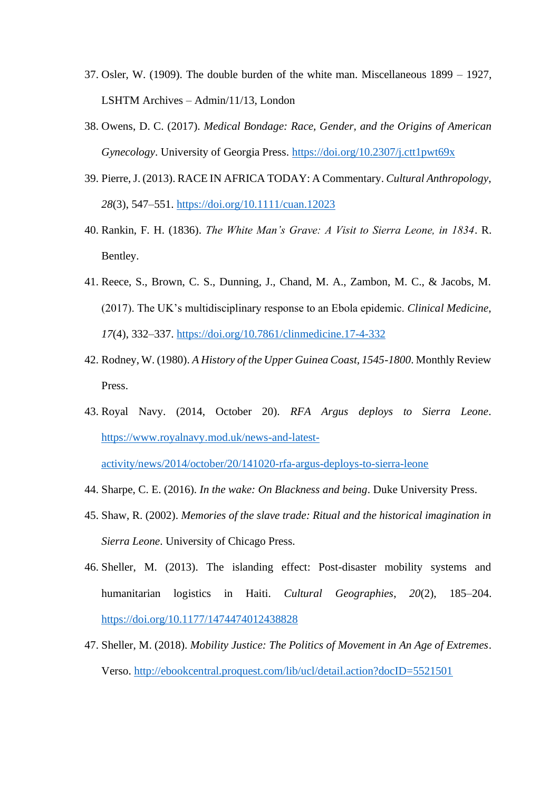- 37. Osler, W. (1909). The double burden of the white man. Miscellaneous 1899 1927, LSHTM Archives – Admin/11/13, London
- 38. Owens, D. C. (2017). *Medical Bondage: Race, Gender, and the Origins of American Gynecology*. University of Georgia Press.<https://doi.org/10.2307/j.ctt1pwt69x>
- 39. Pierre, J. (2013). RACE IN AFRICA TODAY: A Commentary. *Cultural Anthropology*, *28*(3), 547–551.<https://doi.org/10.1111/cuan.12023>
- 40. Rankin, F. H. (1836). *The White Man's Grave: A Visit to Sierra Leone, in 1834*. R. Bentley.
- 41. Reece, S., Brown, C. S., Dunning, J., Chand, M. A., Zambon, M. C., & Jacobs, M. (2017). The UK's multidisciplinary response to an Ebola epidemic. *Clinical Medicine*, *17*(4), 332–337.<https://doi.org/10.7861/clinmedicine.17-4-332>
- 42. Rodney, W. (1980). *A History of the Upper Guinea Coast, 1545-1800*. Monthly Review Press.
- 43. Royal Navy. (2014, October 20). *RFA Argus deploys to Sierra Leone*. [https://www.royalnavy.mod.uk/news-and-latest-](https://www.royalnavy.mod.uk/news-and-latest-activity/news/2014/october/20/141020-rfa-argus-deploys-to-sierra-leone)

[activity/news/2014/october/20/141020-rfa-argus-deploys-to-sierra-leone](https://www.royalnavy.mod.uk/news-and-latest-activity/news/2014/october/20/141020-rfa-argus-deploys-to-sierra-leone)

- 44. Sharpe, C. E. (2016). *In the wake: On Blackness and being*. Duke University Press.
- 45. Shaw, R. (2002). *Memories of the slave trade: Ritual and the historical imagination in Sierra Leone*. University of Chicago Press.
- 46. Sheller, M. (2013). The islanding effect: Post-disaster mobility systems and humanitarian logistics in Haiti. *Cultural Geographies*, *20*(2), 185–204. <https://doi.org/10.1177/1474474012438828>
- 47. Sheller, M. (2018). *Mobility Justice: The Politics of Movement in An Age of Extremes*. Verso.<http://ebookcentral.proquest.com/lib/ucl/detail.action?docID=5521501>